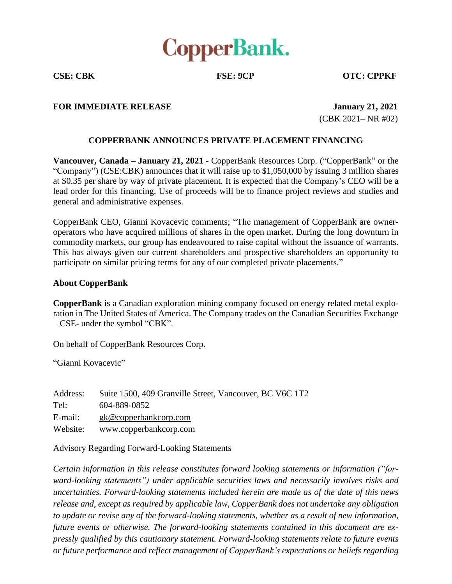

**CSE: CBK FSE: 9CP OTC: CPPKF**

## **FOR IMMEDIATE RELEASE January 21, 2021**

(CBK 2021– NR #02)

## **COPPERBANK ANNOUNCES PRIVATE PLACEMENT FINANCING**

**Vancouver, Canada – January 21, 2021** - CopperBank Resources Corp. ("CopperBank" or the "Company") (CSE:CBK) announces that it will raise up to \$1,050,000 by issuing 3 million shares at \$0.35 per share by way of private placement. It is expected that the Company's CEO will be a lead order for this financing. Use of proceeds will be to finance project reviews and studies and general and administrative expenses.

CopperBank CEO, Gianni Kovacevic comments; "The management of CopperBank are owneroperators who have acquired millions of shares in the open market. During the long downturn in commodity markets, our group has endeavoured to raise capital without the issuance of warrants. This has always given our current shareholders and prospective shareholders an opportunity to participate on similar pricing terms for any of our completed private placements."

## **About CopperBank**

**CopperBank** is a Canadian exploration mining company focused on energy related metal exploration in The United States of America. The Company trades on the Canadian Securities Exchange – CSE- under the symbol "CBK".

On behalf of CopperBank Resources Corp.

"Gianni Kovacevic"

| Address: | Suite 1500, 409 Granville Street, Vancouver, BC V6C 1T2 |
|----------|---------------------------------------------------------|
| Tel:     | 604-889-0852                                            |
| E-mail:  | $g k@$ copperbankcorp.com                               |
| Website: | www.copperbankcorp.com                                  |

Advisory Regarding Forward-Looking Statements

*Certain information in this release constitutes forward looking statements or information ("forward-looking statements") under applicable securities laws and necessarily involves risks and uncertainties. Forward-looking statements included herein are made as of the date of this news release and, except as required by applicable law, CopperBank does not undertake any obligation to update or revise any of the forward-looking statements, whether as a result of new information, future events or otherwise. The forward-looking statements contained in this document are expressly qualified by this cautionary statement. Forward-looking statements relate to future events or future performance and reflect management of CopperBank's expectations or beliefs regarding*